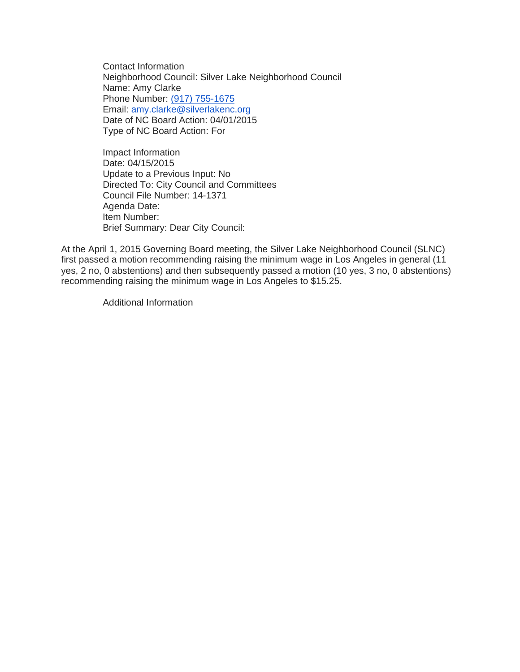Contact Information Neighborhood Council: Silver Lake Neighborhood Council Name: Amy Clarke Phone Number: [\(917\) 755-1675](tel:%28917%29%20755-1675) Email: [amy.clarke@silverlakenc.org](mailto:amy.clarke@silverlakenc.org) Date of NC Board Action: 04/01/2015 Type of NC Board Action: For

Impact Information Date: 04/15/2015 Update to a Previous Input: No Directed To: City Council and Committees Council File Number: 14-1371 Agenda Date: Item Number: Brief Summary: Dear City Council:

At the April 1, 2015 Governing Board meeting, the Silver Lake Neighborhood Council (SLNC) first passed a motion recommending raising the minimum wage in Los Angeles in general (11 yes, 2 no, 0 abstentions) and then subsequently passed a motion (10 yes, 3 no, 0 abstentions) recommending raising the minimum wage in Los Angeles to \$15.25.

Additional Information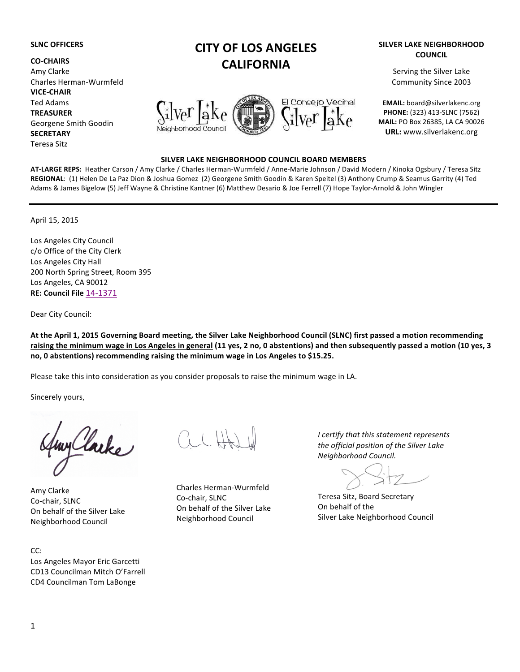#### **SLNC OFFICERS**

**CO-CHAIRS** Amy Clarke Charles Herman-Wurmfeld **VICE-CHAIR** Ted Adams **TREASURER** Georgene Smith Goodin **SECRETARY** Teresa Sitz

# **CITY OF LOS ANGELES CALIFORNIA**



# **SILVER LAKE NEIGHBORHOOD COUNCIL BOARD MEMBERS**

AT-LARGE REPS: Heather Carson / Amy Clarke / Charles Herman-Wurmfeld / Anne-Marie Johnson / David Modern / Kinoka Ogsbury / Teresa Sitz REGIONAL: (1) Helen De La Paz Dion & Joshua Gomez (2) Georgene Smith Goodin & Karen Speitel (3) Anthony Crump & Seamus Garrity (4) Ted Adams & James Bigelow (5) Jeff Wayne & Christine Kantner (6) Matthew Desario & Joe Ferrell (7) Hope Taylor-Arnold & John Wingler

April 15, 2015

Los Angeles City Council c/o Office of the City Clerk Los Angeles City Hall 200 North Spring Street, Room 395 Los Angeles, CA 90012 **RE: Council File** 14-1371

Dear City Council:

At the April 1, 2015 Governing Board meeting, the Silver Lake Neighborhood Council (SLNC) first passed a motion recommending raising the minimum wage in Los Angeles in general (11 yes, 2 no, 0 abstentions) and then subsequently passed a motion (10 yes, 3 no, 0 abstentions) recommending raising the minimum wage in Los Angeles to \$15.25.

Please take this into consideration as you consider proposals to raise the minimum wage in LA.

Sincerely yours,

y Clarke

Amy Clarke Co-chair, SLNC On behalf of the Silver Lake Neighborhood Council

CC: Los Angeles Mayor Eric Garcetti CD13 Councilman Mitch O'Farrell CD4 Councilman Tom LaBonge

Charles Herman-Wurmfeld Co-chair, SLNC On behalf of the Silver Lake Neighborhood Council

*I* certify that this statement represents the official position of the Silver Lake *Neighborhood Council.*

Teresa Sitz, Board Secretary On behalf of the Silver Lake Neighborhood Council

## **SILVER LAKE NEIGHBORHOOD COUNCIL**

Serving the Silver Lake Community Since 2003

**EMAIL:** board@silverlakenc.org **PHONE:** (323) 413-SLNC (7562) **MAIL: PO Box 26385, LA CA 90026 URL:** www.silverlakenc.org